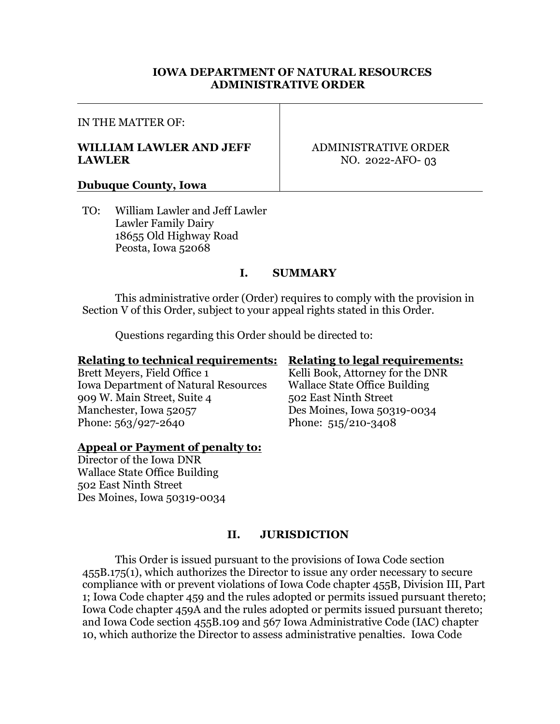#### **IOWA DEPARTMENT OF NATURAL RESOURCES ADMINISTRATIVE ORDER**

#### IN THE MATTER OF:

#### **WILLIAM LAWLER AND JEFF LAWLER**

ADMINISTRATIVE ORDER NO. 2022-AFO-03

#### **Dubuque County, Iowa**

TO: William Lawler and Jeff Lawler Lawler Family Dairy 18655 Old Highway Road Peosta, Iowa 52068

#### **I. SUMMARY**

This administrative order (Order) requires to comply with the provision in Section V of this Order, subject to your appeal rights stated in this Order.

Questions regarding this Order should be directed to:

#### **Relating to technical requirements: Relating to legal requirements:**

Brett Meyers, Field Office 1 Kelli Book, Attorney for the DNR Iowa Department of Natural Resources Wallace State Office Building 909 W. Main Street, Suite 4 502 East Ninth Street Manchester, Iowa 52057 Des Moines, Iowa 50319-0034 Phone: 563/927-2640 Phone: 515/210-3408

# **Appeal or Payment of penalty to:**

Director of the Iowa DNR Wallace State Office Building 502 East Ninth Street Des Moines, Iowa 50319-0034

# **II. JURISDICTION**

This Order is issued pursuant to the provisions of Iowa Code section 455B.175(1), which authorizes the Director to issue any order necessary to secure compliance with or prevent violations of Iowa Code chapter 455B, Division III, Part 1; Iowa Code chapter 459 and the rules adopted or permits issued pursuant thereto; Iowa Code chapter 459A and the rules adopted or permits issued pursuant thereto; and Iowa Code section 455B.109 and 567 Iowa Administrative Code (IAC) chapter 10, which authorize the Director to assess administrative penalties. Iowa Code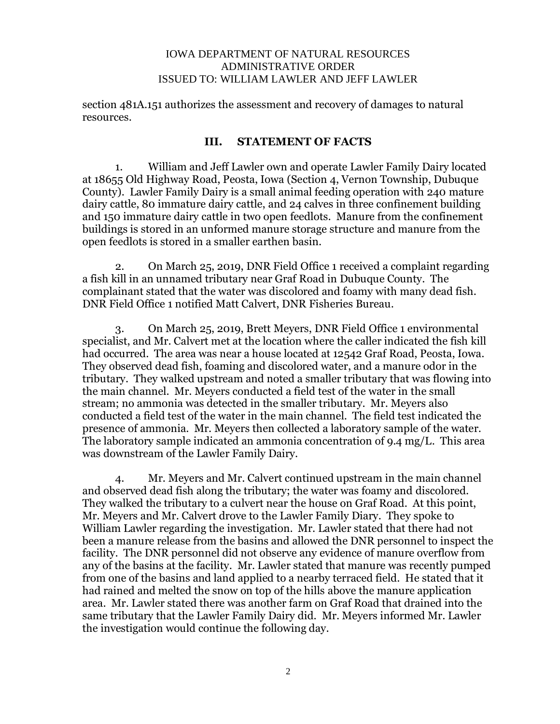section 481A.151 authorizes the assessment and recovery of damages to natural resources.

#### **III. STATEMENT OF FACTS**

1. William and Jeff Lawler own and operate Lawler Family Dairy located at 18655 Old Highway Road, Peosta, Iowa (Section 4, Vernon Township, Dubuque County). Lawler Family Dairy is a small animal feeding operation with 240 mature dairy cattle, 80 immature dairy cattle, and 24 calves in three confinement building and 150 immature dairy cattle in two open feedlots. Manure from the confinement buildings is stored in an unformed manure storage structure and manure from the open feedlots is stored in a smaller earthen basin.

2. On March 25, 2019, DNR Field Office 1 received a complaint regarding a fish kill in an unnamed tributary near Graf Road in Dubuque County. The complainant stated that the water was discolored and foamy with many dead fish. DNR Field Office 1 notified Matt Calvert, DNR Fisheries Bureau.

3. On March 25, 2019, Brett Meyers, DNR Field Office 1 environmental specialist, and Mr. Calvert met at the location where the caller indicated the fish kill had occurred. The area was near a house located at 12542 Graf Road, Peosta, Iowa. They observed dead fish, foaming and discolored water, and a manure odor in the tributary. They walked upstream and noted a smaller tributary that was flowing into the main channel. Mr. Meyers conducted a field test of the water in the small stream; no ammonia was detected in the smaller tributary. Mr. Meyers also conducted a field test of the water in the main channel. The field test indicated the presence of ammonia. Mr. Meyers then collected a laboratory sample of the water. The laboratory sample indicated an ammonia concentration of 9.4 mg/L. This area was downstream of the Lawler Family Dairy.

4. Mr. Meyers and Mr. Calvert continued upstream in the main channel and observed dead fish along the tributary; the water was foamy and discolored. They walked the tributary to a culvert near the house on Graf Road. At this point, Mr. Meyers and Mr. Calvert drove to the Lawler Family Diary. They spoke to William Lawler regarding the investigation. Mr. Lawler stated that there had not been a manure release from the basins and allowed the DNR personnel to inspect the facility. The DNR personnel did not observe any evidence of manure overflow from any of the basins at the facility. Mr. Lawler stated that manure was recently pumped from one of the basins and land applied to a nearby terraced field. He stated that it had rained and melted the snow on top of the hills above the manure application area. Mr. Lawler stated there was another farm on Graf Road that drained into the same tributary that the Lawler Family Dairy did. Mr. Meyers informed Mr. Lawler the investigation would continue the following day.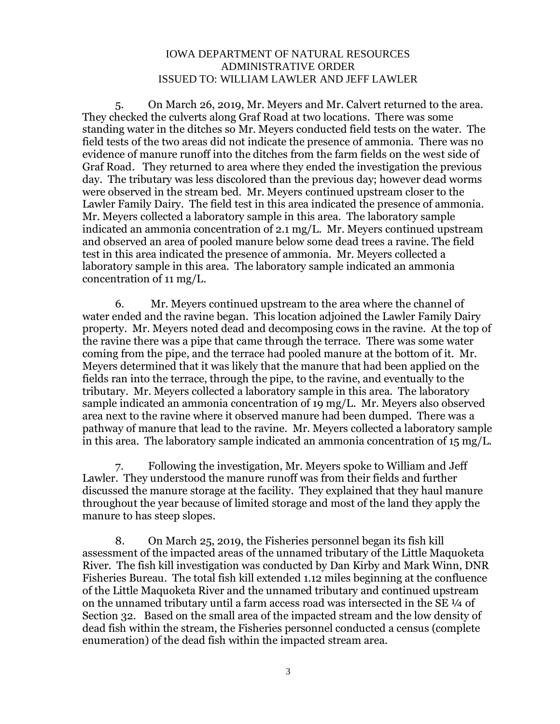5. On March 26, 2019, Mr. Meyers and Mr. Calvert returned to the area. They checked the culverts along Graf Road at two locations. There was some standing water in the ditches so Mr. Meyers conducted field tests on the water. The field tests of the two areas did not indicate the presence of ammonia. There was no evidence of manure runoff into the ditches from the farm fields on the west side of Graf Road. They returned to area where they ended the investigation the previous day. The tributary was less discolored than the previous day; however dead worms were observed in the stream bed. Mr. Meyers continued upstream closer to the Lawler Family Dairy. The field test in this area indicated the presence of ammonia. Mr. Meyers collected a laboratory sample in this area. The laboratory sample indicated an ammonia concentration of 2.1 mg/L. Mr. Meyers continued upstream and observed an area of pooled manure below some dead trees a ravine. The field test in this area indicated the presence of ammonia. Mr. Meyers collected a laboratory sample in this area. The laboratory sample indicated an ammonia concentration of 11 mg/L.

6. Mr. Meyers continued upstream to the area where the channel of water ended and the ravine began. This location adjoined the Lawler Family Dairy property. Mr. Meyers noted dead and decomposing cows in the ravine. At the top of the ravine there was a pipe that came through the terrace. There was some water coming from the pipe, and the terrace had pooled manure at the bottom of it. Mr. Meyers determined that it was likely that the manure that had been applied on the fields ran into the terrace, through the pipe, to the ravine, and eventually to the tributary. Mr. Meyers collected a laboratory sample in this area. The laboratory sample indicated an ammonia concentration of 19 mg/L. Mr. Meyers also observed area next to the ravine where it observed manure had been dumped. There was a pathway of manure that lead to the ravine. Mr. Meyers collected a laboratory sample in this area. The laboratory sample indicated an ammonia concentration of 15 mg/L.

7. Following the investigation, Mr. Meyers spoke to William and Jeff Lawler. They understood the manure runoff was from their fields and further discussed the manure storage at the facility. They explained that they haul manure throughout the year because of limited storage and most of the land they apply the manure to has steep slopes.

8. On March 25, 2019, the Fisheries personnel began its fish kill assessment of the impacted areas of the unnamed tributary of the Little Maquoketa River. The fish kill investigation was conducted by Dan Kirby and Mark Winn, DNR Fisheries Bureau. The total fish kill extended 1.12 miles beginning at the confluence of the Little Maquoketa River and the unnamed tributary and continued upstream on the unnamed tributary until a farm access road was intersected in the SE  $\frac{1}{4}$  of Section 32. Based on the small area of the impacted stream and the low density of dead fish within the stream, the Fisheries personnel conducted a census (complete enumeration) of the dead fish within the impacted stream area.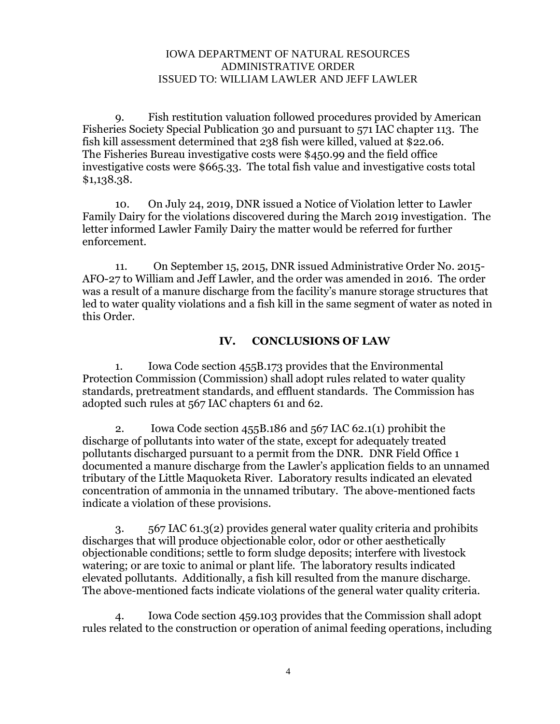9. Fish restitution valuation followed procedures provided by American Fisheries Society Special Publication 30 and pursuant to 571 IAC chapter 113. The fish kill assessment determined that 238 fish were killed, valued at \$22.06. The Fisheries Bureau investigative costs were \$450.99 and the field office investigative costs were \$665.33. The total fish value and investigative costs total \$1,138.38.

10. On July 24, 2019, DNR issued a Notice of Violation letter to Lawler Family Dairy for the violations discovered during the March 2019 investigation. The letter informed Lawler Family Dairy the matter would be referred for further enforcement.

11. On September 15, 2015, DNR issued Administrative Order No. 2015- AFO-27 to William and Jeff Lawler, and the order was amended in 2016. The order was a result of a manure discharge from the facility's manure storage structures that led to water quality violations and a fish kill in the same segment of water as noted in this Order.

### **IV. CONCLUSIONS OF LAW**

1. Iowa Code section 455B.173 provides that the Environmental Protection Commission (Commission) shall adopt rules related to water quality standards, pretreatment standards, and effluent standards. The Commission has adopted such rules at 567 IAC chapters 61 and 62.

2. Iowa Code section 455B.186 and 567 IAC 62.1(1) prohibit the discharge of pollutants into water of the state, except for adequately treated pollutants discharged pursuant to a permit from the DNR. DNR Field Office 1 documented a manure discharge from the Lawler's application fields to an unnamed tributary of the Little Maquoketa River. Laboratory results indicated an elevated concentration of ammonia in the unnamed tributary. The above-mentioned facts indicate a violation of these provisions.

3. 567 IAC 61.3(2) provides general water quality criteria and prohibits discharges that will produce objectionable color, odor or other aesthetically objectionable conditions; settle to form sludge deposits; interfere with livestock watering; or are toxic to animal or plant life. The laboratory results indicated elevated pollutants. Additionally, a fish kill resulted from the manure discharge. The above-mentioned facts indicate violations of the general water quality criteria.

4. Iowa Code section 459.103 provides that the Commission shall adopt rules related to the construction or operation of animal feeding operations, including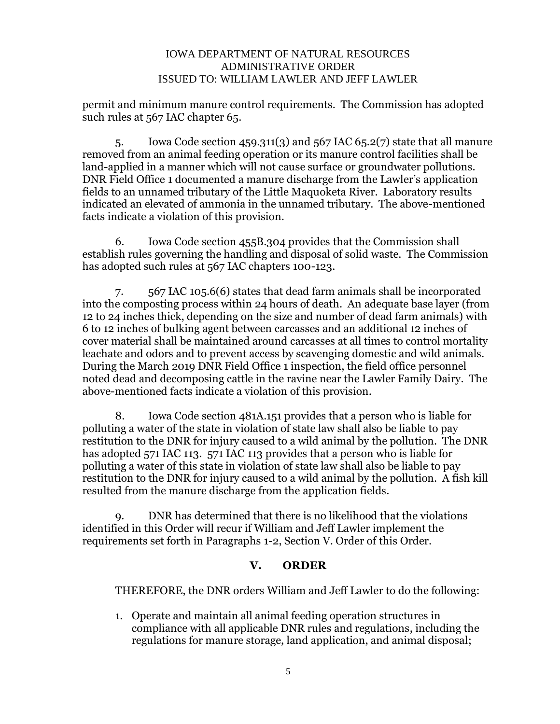permit and minimum manure control requirements. The Commission has adopted such rules at 567 IAC chapter 65.

5. Iowa Code section 459.311(3) and 567 IAC 65.2(7) state that all manure removed from an animal feeding operation or its manure control facilities shall be land-applied in a manner which will not cause surface or groundwater pollutions. DNR Field Office 1 documented a manure discharge from the Lawler's application fields to an unnamed tributary of the Little Maquoketa River. Laboratory results indicated an elevated of ammonia in the unnamed tributary. The above-mentioned facts indicate a violation of this provision.

6. Iowa Code section 455B.304 provides that the Commission shall establish rules governing the handling and disposal of solid waste. The Commission has adopted such rules at 567 IAC chapters 100-123.

7. 567 IAC 105.6(6) states that dead farm animals shall be incorporated into the composting process within 24 hours of death. An adequate base layer (from 12 to 24 inches thick, depending on the size and number of dead farm animals) with 6 to 12 inches of bulking agent between carcasses and an additional 12 inches of cover material shall be maintained around carcasses at all times to control mortality leachate and odors and to prevent access by scavenging domestic and wild animals. During the March 2019 DNR Field Office 1 inspection, the field office personnel noted dead and decomposing cattle in the ravine near the Lawler Family Dairy. The above-mentioned facts indicate a violation of this provision.

8. Iowa Code section 481A.151 provides that a person who is liable for polluting a water of the state in violation of state law shall also be liable to pay restitution to the DNR for injury caused to a wild animal by the pollution. The DNR has adopted 571 IAC 113. 571 IAC 113 provides that a person who is liable for polluting a water of this state in violation of state law shall also be liable to pay restitution to the DNR for injury caused to a wild animal by the pollution. A fish kill resulted from the manure discharge from the application fields.

9. DNR has determined that there is no likelihood that the violations identified in this Order will recur if William and Jeff Lawler implement the requirements set forth in Paragraphs 1-2, Section V. Order of this Order.

### **V. ORDER**

THEREFORE, the DNR orders William and Jeff Lawler to do the following:

1. Operate and maintain all animal feeding operation structures in compliance with all applicable DNR rules and regulations, including the regulations for manure storage, land application, and animal disposal;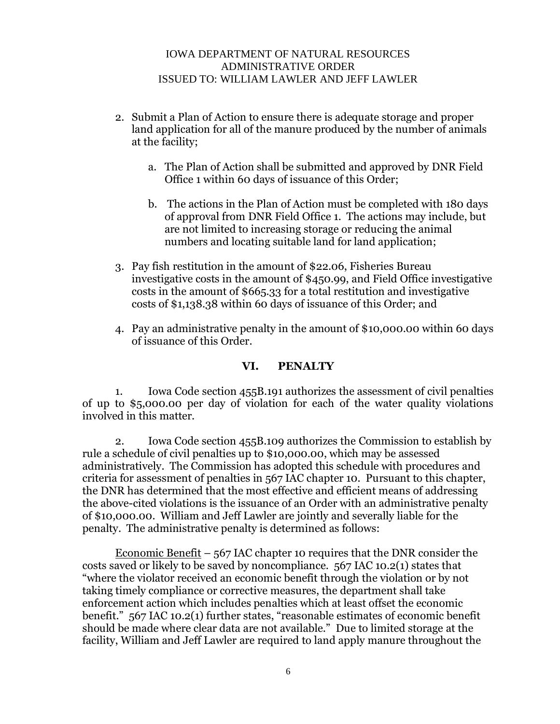- 2. Submit a Plan of Action to ensure there is adequate storage and proper land application for all of the manure produced by the number of animals at the facility;
	- a. The Plan of Action shall be submitted and approved by DNR Field Office 1 within 60 days of issuance of this Order;
	- b. The actions in the Plan of Action must be completed with 180 days of approval from DNR Field Office 1. The actions may include, but are not limited to increasing storage or reducing the animal numbers and locating suitable land for land application;
- 3. Pay fish restitution in the amount of \$22.06, Fisheries Bureau investigative costs in the amount of \$450.99, and Field Office investigative costs in the amount of \$665.33 for a total restitution and investigative costs of \$1,138.38 within 60 days of issuance of this Order; and
- 4. Pay an administrative penalty in the amount of \$10,000.00 within 60 days of issuance of this Order.

## **VI. PENALTY**

1. Iowa Code section 455B.191 authorizes the assessment of civil penalties of up to \$5,000.00 per day of violation for each of the water quality violations involved in this matter.

2. Iowa Code section 455B.109 authorizes the Commission to establish by rule a schedule of civil penalties up to \$10,000.00, which may be assessed administratively. The Commission has adopted this schedule with procedures and criteria for assessment of penalties in 567 IAC chapter 10. Pursuant to this chapter, the DNR has determined that the most effective and efficient means of addressing the above-cited violations is the issuance of an Order with an administrative penalty of \$10,000.00. William and Jeff Lawler are jointly and severally liable for the penalty. The administrative penalty is determined as follows:

Economic Benefit  $-567$  IAC chapter 10 requires that the DNR consider the costs saved or likely to be saved by noncompliance. 567 IAC 10.2(1) states that "where the violator received an economic benefit through the violation or by not taking timely compliance or corrective measures, the department shall take enforcement action which includes penalties which at least offset the economic benefit." 567 IAC 10.2(1) further states, "reasonable estimates of economic benefit should be made where clear data are not available." Due to limited storage at the facility, William and Jeff Lawler are required to land apply manure throughout the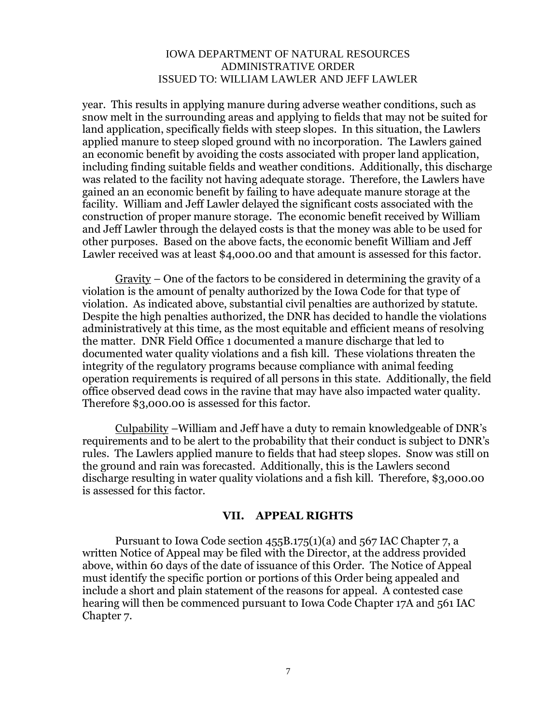year. This results in applying manure during adverse weather conditions, such as snow melt in the surrounding areas and applying to fields that may not be suited for land application, specifically fields with steep slopes. In this situation, the Lawlers applied manure to steep sloped ground with no incorporation. The Lawlers gained an economic benefit by avoiding the costs associated with proper land application, including finding suitable fields and weather conditions. Additionally, this discharge was related to the facility not having adequate storage. Therefore, the Lawlers have gained an an economic benefit by failing to have adequate manure storage at the facility. William and Jeff Lawler delayed the significant costs associated with the construction of proper manure storage. The economic benefit received by William and Jeff Lawler through the delayed costs is that the money was able to be used for other purposes. Based on the above facts, the economic benefit William and Jeff Lawler received was at least \$4,000.00 and that amount is assessed for this factor.

Gravity – One of the factors to be considered in determining the gravity of a violation is the amount of penalty authorized by the Iowa Code for that type of violation. As indicated above, substantial civil penalties are authorized by statute. Despite the high penalties authorized, the DNR has decided to handle the violations administratively at this time, as the most equitable and efficient means of resolving the matter. DNR Field Office 1 documented a manure discharge that led to documented water quality violations and a fish kill. These violations threaten the integrity of the regulatory programs because compliance with animal feeding operation requirements is required of all persons in this state. Additionally, the field office observed dead cows in the ravine that may have also impacted water quality. Therefore \$3,000.00 is assessed for this factor.

Culpability –William and Jeff have a duty to remain knowledgeable of DNR's requirements and to be alert to the probability that their conduct is subject to DNR's rules. The Lawlers applied manure to fields that had steep slopes. Snow was still on the ground and rain was forecasted. Additionally, this is the Lawlers second discharge resulting in water quality violations and a fish kill. Therefore, \$3,000.00 is assessed for this factor.

#### **VII. APPEAL RIGHTS**

Pursuant to Iowa Code section  $455B.175(1)(a)$  and  $567$  IAC Chapter 7, a written Notice of Appeal may be filed with the Director, at the address provided above, within 60 days of the date of issuance of this Order. The Notice of Appeal must identify the specific portion or portions of this Order being appealed and include a short and plain statement of the reasons for appeal. A contested case hearing will then be commenced pursuant to Iowa Code Chapter 17A and 561 IAC Chapter 7.